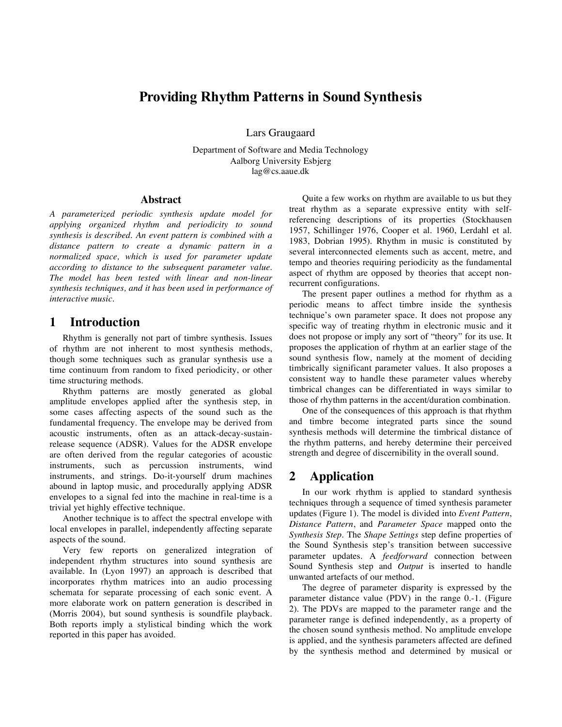# **Providing Rhythm Patterns in Sound Synthesis**

Lars Graugaard

Department of Software and Media Technology Aalborg University Esbjerg lag@cs.aaue.dk

### **Abstract**

*A parameterized periodic synthesis update model for applying organized rhythm and periodicity to sound synthesis is described. An event pattern is combined with a distance pattern to create a dynamic pattern in a normalized space, which is used for parameter update according to distance to the subsequent parameter value. The model has been tested with linear and non-linear synthesis techniques, and it has been used in performance of interactive music.*

## **1 Introduction**

Rhythm is generally not part of timbre synthesis. Issues of rhythm are not inherent to most synthesis methods, though some techniques such as granular synthesis use a time continuum from random to fixed periodicity, or other time structuring methods.

Rhythm patterns are mostly generated as global amplitude envelopes applied after the synthesis step, in some cases affecting aspects of the sound such as the fundamental frequency. The envelope may be derived from acoustic instruments, often as an attack-decay-sustainrelease sequence (ADSR). Values for the ADSR envelope are often derived from the regular categories of acoustic instruments, such as percussion instruments, wind instruments, and strings. Do-it-yourself drum machines abound in laptop music, and procedurally applying ADSR envelopes to a signal fed into the machine in real-time is a trivial yet highly effective technique.

Another technique is to affect the spectral envelope with local envelopes in parallel, independently affecting separate aspects of the sound.

Very few reports on generalized integration of independent rhythm structures into sound synthesis are available. In (Lyon 1997) an approach is described that incorporates rhythm matrices into an audio processing schemata for separate processing of each sonic event. A more elaborate work on pattern generation is described in (Morris 2004), but sound synthesis is soundfile playback. Both reports imply a stylistical binding which the work reported in this paper has avoided.

Quite a few works on rhythm are available to us but they treat rhythm as a separate expressive entity with selfreferencing descriptions of its properties (Stockhausen 1957, Schillinger 1976, Cooper et al. 1960, Lerdahl et al. 1983, Dobrian 1995). Rhythm in music is constituted by several interconnected elements such as accent, metre, and tempo and theories requiring periodicity as the fundamental aspect of rhythm are opposed by theories that accept nonrecurrent configurations.

The present paper outlines a method for rhythm as a periodic means to affect timbre inside the synthesis technique's own parameter space. It does not propose any specific way of treating rhythm in electronic music and it does not propose or imply any sort of "theory" for its use. It proposes the application of rhythm at an earlier stage of the sound synthesis flow, namely at the moment of deciding timbrically significant parameter values. It also proposes a consistent way to handle these parameter values whereby timbrical changes can be differentiated in ways similar to those of rhythm patterns in the accent/duration combination.

One of the consequences of this approach is that rhythm and timbre become integrated parts since the sound synthesis methods will determine the timbrical distance of the rhythm patterns, and hereby determine their perceived strength and degree of discernibility in the overall sound.

# **2 Application**

In our work rhythm is applied to standard synthesis techniques through a sequence of timed synthesis parameter updates (Figure 1). The model is divided into *Event Pattern*, *Distance Pattern*, and *Parameter Space* mapped onto the *Synthesis Step*. The *Shape Settings* step define properties of the Sound Synthesis step's transition between successive parameter updates. A *feedforward* connection between Sound Synthesis step and *Output* is inserted to handle unwanted artefacts of our method.

The degree of parameter disparity is expressed by the parameter distance value (PDV) in the range 0.-1. (Figure 2). The PDVs are mapped to the parameter range and the parameter range is defined independently, as a property of the chosen sound synthesis method. No amplitude envelope is applied, and the synthesis parameters affected are defined by the synthesis method and determined by musical or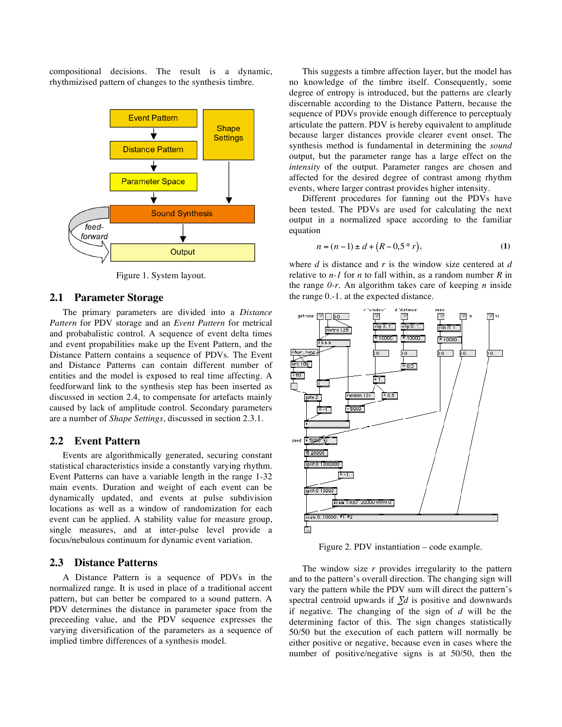compositional decisions. The result is a dynamic, rhythmizised pattern of changes to the synthesis timbre.



Figure 1. System layout.

#### **2.1 Parameter Storage**

The primary parameters are divided into a *Distance Pattern* for PDV storage and an *Event Pattern* for metrical and probabalistic control. A sequence of event delta times and event propabilities make up the Event Pattern, and the Distance Pattern contains a sequence of PDVs. The Event and Distance Patterns can contain different number of entities and the model is exposed to real time affecting. A feedforward link to the synthesis step has been inserted as discussed in section 2.4, to compensate for artefacts mainly caused by lack of amplitude control. Secondary parameters are a number of *Shape Settings*, discussed in section 2.3.1.

### **2.2 Event Pattern**

Events are algorithmically generated, securing constant statistical characteristics inside a constantly varying rhythm. Event Patterns can have a variable length in the range 1-32 main events. Duration and weight of each event can be dynamically updated, and events at pulse subdivision locations as well as a window of randomization for each event can be applied. A stability value for measure group, single measures, and at inter-pulse level provide a focus/nebulous continuum for dynamic event variation.

### **2.3 Distance Patterns**

A Distance Pattern is a sequence of PDVs in the normalized range. It is used in place of a traditional accent pattern, but can better be compared to a sound pattern. A PDV determines the distance in parameter space from the preceeding value, and the PDV sequence expresses the varying diversification of the parameters as a sequence of implied timbre differences of a synthesis model.

This suggests a timbre affection layer, but the model has no knowledge of the timbre itself. Consequently, some degree of entropy is introduced, but the patterns are clearly discernable according to the Distance Pattern, because the sequence of PDVs provide enough difference to perceptualy articulate the pattern. PDV is hereby equivalent to amplitude because larger distances provide clearer event onset. The synthesis method is fundamental in determining the *sound* output, but the parameter range has a large effect on the *intensity* of the output. Parameter ranges are chosen and affected for the desired degree of contrast among rhythm events, where larger contrast provides higher intensity.

Different procedures for fanning out the PDVs have been tested. The PDVs are used for calculating the next output in a normalized space according to the familiar equation

$$
n = (n-1) \pm d + (R - 0.5 * r),
$$
 (1)

where *d* is distance and *r* is the window size centered at *d* relative to *n-1* for *n* to fall within, as a random number *R* in the range *0-r*. An algorithm takes care of keeping *n* inside the range 0.-1. at the expected distance.



Figure 2. PDV instantiation – code example.

The window size *r* provides irregularity to the pattern and to the pattern's overall direction. The changing sign will vary the pattern while the PDV sum will direct the pattern's spectral centroid upwards if ∑*d* is positive and downwards if negative. The changing of the sign of *d* will be the determining factor of this. The sign changes statistically 50/50 but the execution of each pattern will normally be either positive or negative, because even in cases where the number of positive/negative signs is at 50/50, then the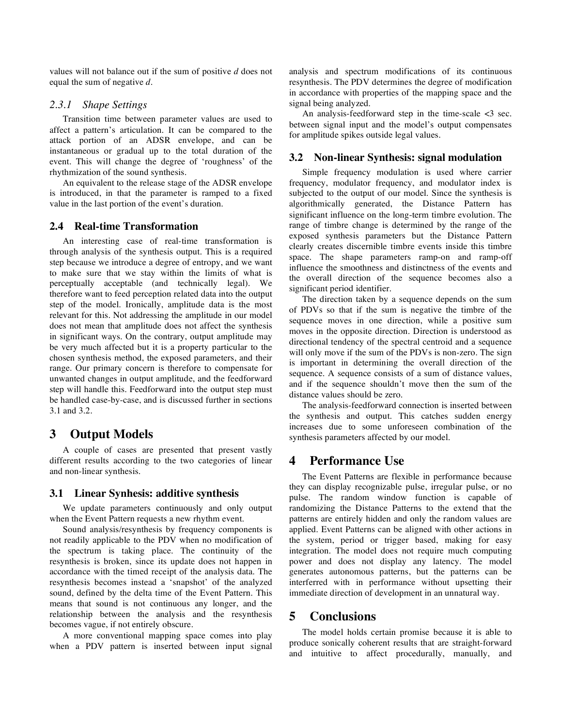values will not balance out if the sum of positive *d* does not equal the sum of negative *d*.

### *2.3.1 Shape Settings*

Transition time between parameter values are used to affect a pattern's articulation. It can be compared to the attack portion of an ADSR envelope, and can be instantaneous or gradual up to the total duration of the event. This will change the degree of 'roughness' of the rhythmization of the sound synthesis.

An equivalent to the release stage of the ADSR envelope is introduced, in that the parameter is ramped to a fixed value in the last portion of the event's duration.

### **2.4 Real-time Transformation**

An interesting case of real-time transformation is through analysis of the synthesis output. This is a required step because we introduce a degree of entropy, and we want to make sure that we stay within the limits of what is perceptually acceptable (and technically legal). We therefore want to feed perception related data into the output step of the model. Ironically, amplitude data is the most relevant for this. Not addressing the amplitude in our model does not mean that amplitude does not affect the synthesis in significant ways. On the contrary, output amplitude may be very much affected but it is a property particular to the chosen synthesis method, the exposed parameters, and their range. Our primary concern is therefore to compensate for unwanted changes in output amplitude, and the feedforward step will handle this. Feedforward into the output step must be handled case-by-case, and is discussed further in sections 3.1 and 3.2.

# **3 Output Models**

A couple of cases are presented that present vastly different results according to the two categories of linear and non-linear synthesis.

#### **3.1 Linear Synhesis: additive synthesis**

We update parameters continuously and only output when the Event Pattern requests a new rhythm event.

Sound analysis/resynthesis by frequency components is not readily applicable to the PDV when no modification of the spectrum is taking place. The continuity of the resynthesis is broken, since its update does not happen in accordance with the timed receipt of the analysis data. The resynthesis becomes instead a 'snapshot' of the analyzed sound, defined by the delta time of the Event Pattern. This means that sound is not continuous any longer, and the relationship between the analysis and the resynthesis becomes vague, if not entirely obscure.

A more conventional mapping space comes into play when a PDV pattern is inserted between input signal analysis and spectrum modifications of its continuous resynthesis. The PDV determines the degree of modification in accordance with properties of the mapping space and the signal being analyzed.

An analysis-feedforward step in the time-scale <3 sec. between signal input and the model's output compensates for amplitude spikes outside legal values.

### **3.2 Non-linear Synthesis: signal modulation**

Simple frequency modulation is used where carrier frequency, modulator frequency, and modulator index is subjected to the output of our model. Since the synthesis is algorithmically generated, the Distance Pattern has significant influence on the long-term timbre evolution. The range of timbre change is determined by the range of the exposed synthesis parameters but the Distance Pattern clearly creates discernible timbre events inside this timbre space. The shape parameters ramp-on and ramp-off influence the smoothness and distinctness of the events and the overall direction of the sequence becomes also a significant period identifier.

The direction taken by a sequence depends on the sum of PDVs so that if the sum is negative the timbre of the sequence moves in one direction, while a positive sum moves in the opposite direction. Direction is understood as directional tendency of the spectral centroid and a sequence will only move if the sum of the PDVs is non-zero. The sign is important in determining the overall direction of the sequence. A sequence consists of a sum of distance values, and if the sequence shouldn't move then the sum of the distance values should be zero.

The analysis-feedforward connection is inserted between the synthesis and output. This catches sudden energy increases due to some unforeseen combination of the synthesis parameters affected by our model.

# **4 Performance Use**

The Event Patterns are flexible in performance because they can display recognizable pulse, irregular pulse, or no pulse. The random window function is capable of randomizing the Distance Patterns to the extend that the patterns are entirely hidden and only the random values are applied. Event Patterns can be aligned with other actions in the system, period or trigger based, making for easy integration. The model does not require much computing power and does not display any latency. The model generates autonomous patterns, but the patterns can be interferred with in performance without upsetting their immediate direction of development in an unnatural way.

### **5 Conclusions**

The model holds certain promise because it is able to produce sonically coherent results that are straight-forward and intuitive to affect procedurally, manually, and